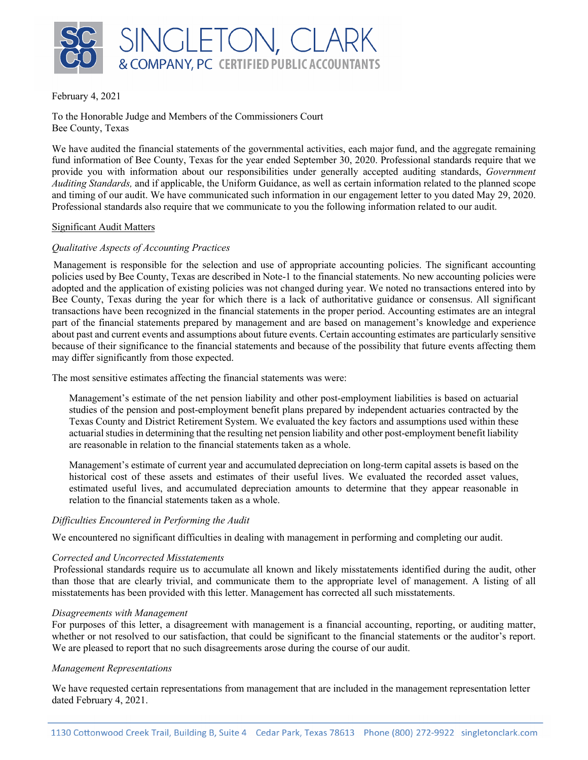

February 4, 2021

To the Honorable Judge and Members of the Commissioners Court Bee County, Texas

We have audited the financial statements of the governmental activities, each major fund, and the aggregate remaining fund information of Bee County, Texas for the year ended September 30, 2020. Professional standards require that we provide you with information about our responsibilities under generally accepted auditing standards, *Government Auditing Standards,* and if applicable, the Uniform Guidance, as well as certain information related to the planned scope and timing of our audit. We have communicated such information in our engagement letter to you dated May 29, 2020. Professional standards also require that we communicate to you the following information related to our audit.

# Significant Audit Matters

# *Qualitative Aspects of Accounting Practices*

Management is responsible for the selection and use of appropriate accounting policies. The significant accounting policies used by Bee County, Texas are described in Note-1 to the financial statements. No new accounting policies were adopted and the application of existing policies was not changed during year. We noted no transactions entered into by Bee County, Texas during the year for which there is a lack of authoritative guidance or consensus. All significant transactions have been recognized in the financial statements in the proper period. Accounting estimates are an integral part of the financial statements prepared by management and are based on management's knowledge and experience about past and current events and assumptions about future events. Certain accounting estimates are particularly sensitive because of their significance to the financial statements and because of the possibility that future events affecting them may differ significantly from those expected.

The most sensitive estimates affecting the financial statements was were:

Management's estimate of the net pension liability and other post-employment liabilities is based on actuarial studies of the pension and post-employment benefit plans prepared by independent actuaries contracted by the Texas County and District Retirement System. We evaluated the key factors and assumptions used within these actuarial studies in determining that the resulting net pension liability and other post-employment benefit liability are reasonable in relation to the financial statements taken as a whole.

Management's estimate of current year and accumulated depreciation on long-term capital assets is based on the historical cost of these assets and estimates of their useful lives. We evaluated the recorded asset values, estimated useful lives, and accumulated depreciation amounts to determine that they appear reasonable in relation to the financial statements taken as a whole.

# *Difficulties Encountered in Performing the Audit*

We encountered no significant difficulties in dealing with management in performing and completing our audit.

# *Corrected and Uncorrected Misstatements*

Professional standards require us to accumulate all known and likely misstatements identified during the audit, other than those that are clearly trivial, and communicate them to the appropriate level of management. A listing of all misstatements has been provided with this letter. Management has corrected all such misstatements.

# *Disagreements with Management*

For purposes of this letter, a disagreement with management is a financial accounting, reporting, or auditing matter, whether or not resolved to our satisfaction, that could be significant to the financial statements or the auditor's report. We are pleased to report that no such disagreements arose during the course of our audit.

# *Management Representations*

We have requested certain representations from management that are included in the management representation letter dated February 4, 2021.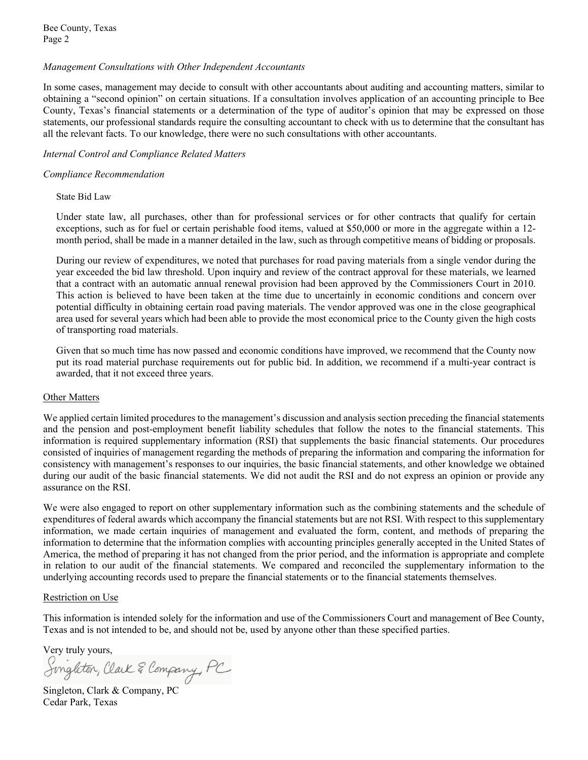Bee County, Texas Page 2

# *Management Consultations with Other Independent Accountants*

In some cases, management may decide to consult with other accountants about auditing and accounting matters, similar to obtaining a "second opinion" on certain situations. If a consultation involves application of an accounting principle to Bee County, Texas's financial statements or a determination of the type of auditor's opinion that may be expressed on those statements, our professional standards require the consulting accountant to check with us to determine that the consultant has all the relevant facts. To our knowledge, there were no such consultations with other accountants.

# *Internal Control and Compliance Related Matters*

# *Compliance Recommendation*

# State Bid Law

Under state law, all purchases, other than for professional services or for other contracts that qualify for certain exceptions, such as for fuel or certain perishable food items, valued at \$50,000 or more in the aggregate within a 12 month period, shall be made in a manner detailed in the law, such as through competitive means of bidding or proposals.

During our review of expenditures, we noted that purchases for road paving materials from a single vendor during the year exceeded the bid law threshold. Upon inquiry and review of the contract approval for these materials, we learned that a contract with an automatic annual renewal provision had been approved by the Commissioners Court in 2010. This action is believed to have been taken at the time due to uncertainly in economic conditions and concern over potential difficulty in obtaining certain road paving materials. The vendor approved was one in the close geographical area used for several years which had been able to provide the most economical price to the County given the high costs of transporting road materials.

Given that so much time has now passed and economic conditions have improved, we recommend that the County now put its road material purchase requirements out for public bid. In addition, we recommend if a multi-year contract is awarded, that it not exceed three years.

# Other Matters

We applied certain limited procedures to the management's discussion and analysis section preceding the financial statements and the pension and post-employment benefit liability schedules that follow the notes to the financial statements. This information is required supplementary information (RSI) that supplements the basic financial statements. Our procedures consisted of inquiries of management regarding the methods of preparing the information and comparing the information for consistency with management's responses to our inquiries, the basic financial statements, and other knowledge we obtained during our audit of the basic financial statements. We did not audit the RSI and do not express an opinion or provide any assurance on the RSI.

We were also engaged to report on other supplementary information such as the combining statements and the schedule of expenditures of federal awards which accompany the financial statements but are not RSI. With respect to this supplementary information, we made certain inquiries of management and evaluated the form, content, and methods of preparing the information to determine that the information complies with accounting principles generally accepted in the United States of America, the method of preparing it has not changed from the prior period, and the information is appropriate and complete in relation to our audit of the financial statements. We compared and reconciled the supplementary information to the underlying accounting records used to prepare the financial statements or to the financial statements themselves.

# Restriction on Use

This information is intended solely for the information and use of the Commissioners Court and management of Bee County, Texas and is not intended to be, and should not be, used by anyone other than these specified parties.

Very truly yours,<br>Singleton, Claik & Company, PC

Singleton, Clark & Company, PC Cedar Park, Texas